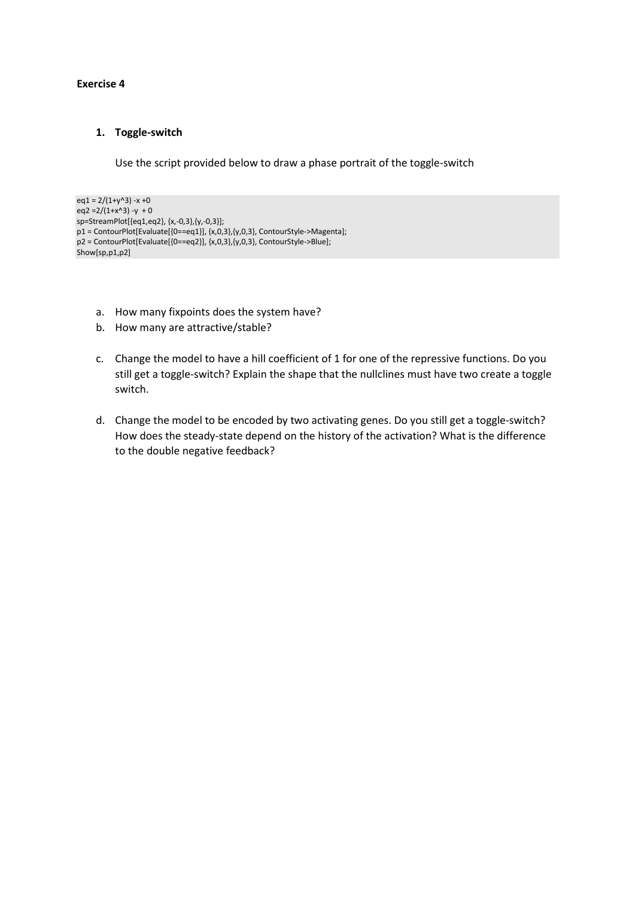## **Exercise 4**

## **1. Toggle-switch**

Use the script provided below to draw a phase portrait of the toggle-switch

```
eq1 = 2/(1+y^{3}) - x + 0eq2 =2/(1+x^3) -y + 0
sp=StreamPlot[{eq1,eq2}, {x,-0,3},{y,-0,3}];
p1 = ContourPlot[Evaluate[{0==eq1}], {x,0,3}, {y,0,3}, ContourStyle->Magenta];
p2 = ContourPlot[Evaluate[{0==eq2}], {x,0,3},{y,0,3}, ContourStyle->Blue];
Show[sp,p1,p2]
```
- a. How many fixpoints does the system have?
- b. How many are attractive/stable?
- c. Change the model to have a hill coefficient of 1 for one of the repressive functions. Do you still get a toggle-switch? Explain the shape that the nullclines must have two create a toggle switch.
- d. Change the model to be encoded by two activating genes. Do you still get a toggle-switch? How does the steady-state depend on the history of the activation? What is the difference to the double negative feedback?